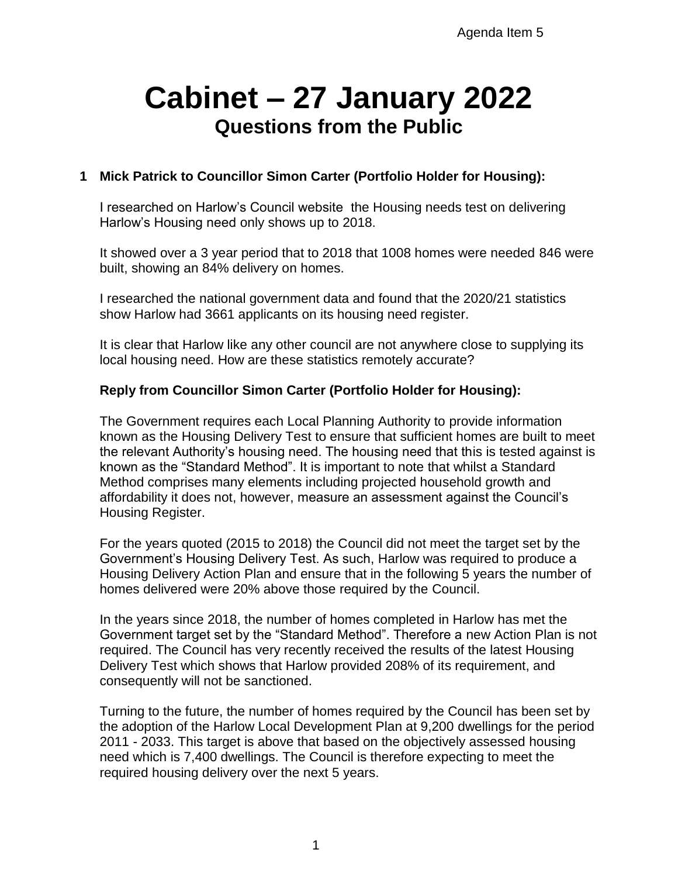# **Cabinet – 27 January 2022 Questions from the Public**

# **1 Mick Patrick to Councillor Simon Carter (Portfolio Holder for Housing):**

I researched on Harlow's Council website the Housing needs test on delivering Harlow's Housing need only shows up to 2018.

It showed over a 3 year period that to 2018 that 1008 homes were needed 846 were built, showing an 84% delivery on homes.

I researched the national government data and found that the 2020/21 statistics show Harlow had 3661 applicants on its housing need register.

It is clear that Harlow like any other council are not anywhere close to supplying its local housing need. How are these statistics remotely accurate?

## **Reply from Councillor Simon Carter (Portfolio Holder for Housing):**

The Government requires each Local Planning Authority to provide information known as the Housing Delivery Test to ensure that sufficient homes are built to meet the relevant Authority's housing need. The housing need that this is tested against is known as the "Standard Method". It is important to note that whilst a Standard Method comprises many elements including projected household growth and affordability it does not, however, measure an assessment against the Council's Housing Register.

For the years quoted (2015 to 2018) the Council did not meet the target set by the Government's Housing Delivery Test. As such, Harlow was required to produce a Housing Delivery Action Plan and ensure that in the following 5 years the number of homes delivered were 20% above those required by the Council.

In the years since 2018, the number of homes completed in Harlow has met the Government target set by the "Standard Method". Therefore a new Action Plan is not required. The Council has very recently received the results of the latest Housing Delivery Test which shows that Harlow provided 208% of its requirement, and consequently will not be sanctioned.

Turning to the future, the number of homes required by the Council has been set by the adoption of the Harlow Local Development Plan at 9,200 dwellings for the period 2011 - 2033. This target is above that based on the objectively assessed housing need which is 7,400 dwellings. The Council is therefore expecting to meet the required housing delivery over the next 5 years.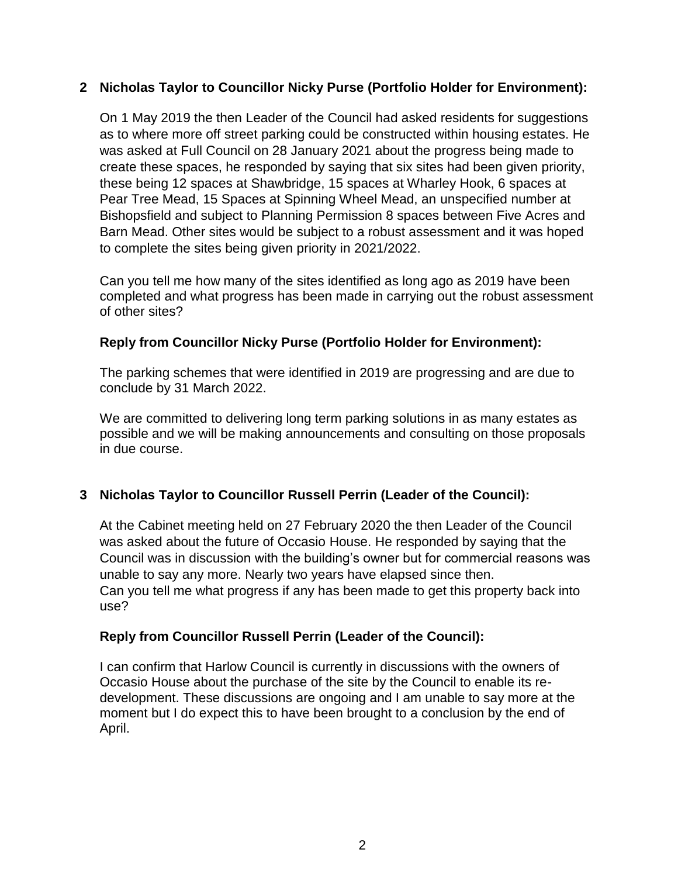## **2 Nicholas Taylor to Councillor Nicky Purse (Portfolio Holder for Environment):**

On 1 May 2019 the then Leader of the Council had asked residents for suggestions as to where more off street parking could be constructed within housing estates. He was asked at Full Council on 28 January 2021 about the progress being made to create these spaces, he responded by saying that six sites had been given priority, these being 12 spaces at Shawbridge, 15 spaces at Wharley Hook, 6 spaces at Pear Tree Mead, 15 Spaces at Spinning Wheel Mead, an unspecified number at Bishopsfield and subject to Planning Permission 8 spaces between Five Acres and Barn Mead. Other sites would be subject to a robust assessment and it was hoped to complete the sites being given priority in 2021/2022.

Can you tell me how many of the sites identified as long ago as 2019 have been completed and what progress has been made in carrying out the robust assessment of other sites?

## **Reply from Councillor Nicky Purse (Portfolio Holder for Environment):**

The parking schemes that were identified in 2019 are progressing and are due to conclude by 31 March 2022.

We are committed to delivering long term parking solutions in as many estates as possible and we will be making announcements and consulting on those proposals in due course.

## **3 Nicholas Taylor to Councillor Russell Perrin (Leader of the Council):**

At the Cabinet meeting held on 27 February 2020 the then Leader of the Council was asked about the future of Occasio House. He responded by saying that the Council was in discussion with the building's owner but for commercial reasons was unable to say any more. Nearly two years have elapsed since then. Can you tell me what progress if any has been made to get this property back into use?

#### **Reply from Councillor Russell Perrin (Leader of the Council):**

I can confirm that Harlow Council is currently in discussions with the owners of Occasio House about the purchase of the site by the Council to enable its redevelopment. These discussions are ongoing and I am unable to say more at the moment but I do expect this to have been brought to a conclusion by the end of April.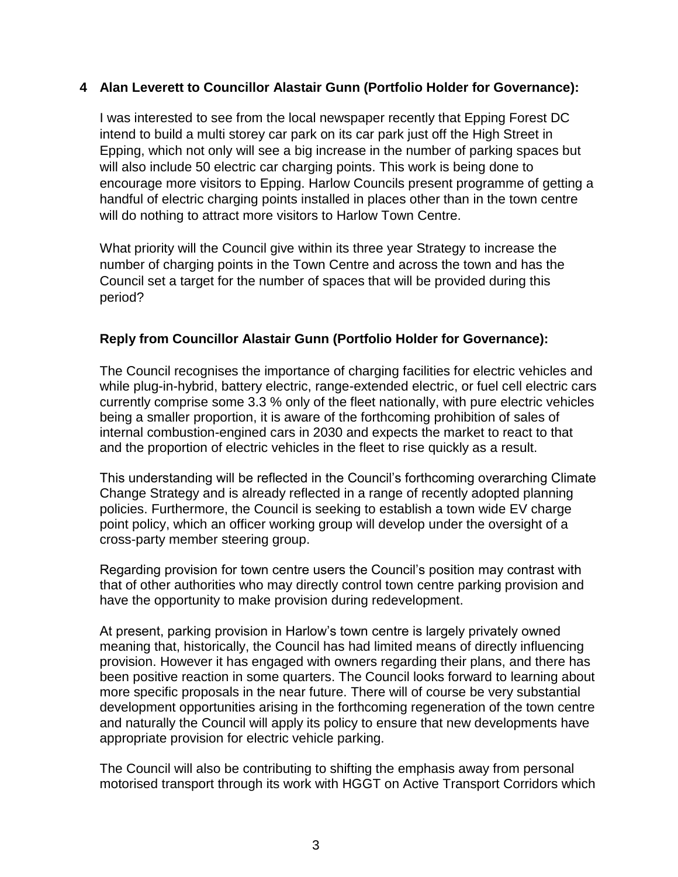#### **4 Alan Leverett to Councillor Alastair Gunn (Portfolio Holder for Governance):**

I was interested to see from the local newspaper recently that Epping Forest DC intend to build a multi storey car park on its car park just off the High Street in Epping, which not only will see a big increase in the number of parking spaces but will also include 50 electric car charging points. This work is being done to encourage more visitors to Epping. Harlow Councils present programme of getting a handful of electric charging points installed in places other than in the town centre will do nothing to attract more visitors to Harlow Town Centre.

What priority will the Council give within its three year Strategy to increase the number of charging points in the Town Centre and across the town and has the Council set a target for the number of spaces that will be provided during this period?

## **Reply from Councillor Alastair Gunn (Portfolio Holder for Governance):**

The Council recognises the importance of charging facilities for electric vehicles and while plug-in-hybrid, battery electric, range-extended electric, or fuel cell electric cars currently comprise some 3.3 % only of the fleet nationally, with pure electric vehicles being a smaller proportion, it is aware of the forthcoming prohibition of sales of internal combustion-engined cars in 2030 and expects the market to react to that and the proportion of electric vehicles in the fleet to rise quickly as a result.

This understanding will be reflected in the Council's forthcoming overarching Climate Change Strategy and is already reflected in a range of recently adopted planning policies. Furthermore, the Council is seeking to establish a town wide EV charge point policy, which an officer working group will develop under the oversight of a cross-party member steering group.

Regarding provision for town centre users the Council's position may contrast with that of other authorities who may directly control town centre parking provision and have the opportunity to make provision during redevelopment.

At present, parking provision in Harlow's town centre is largely privately owned meaning that, historically, the Council has had limited means of directly influencing provision. However it has engaged with owners regarding their plans, and there has been positive reaction in some quarters. The Council looks forward to learning about more specific proposals in the near future. There will of course be very substantial development opportunities arising in the forthcoming regeneration of the town centre and naturally the Council will apply its policy to ensure that new developments have appropriate provision for electric vehicle parking.

The Council will also be contributing to shifting the emphasis away from personal motorised transport through its work with HGGT on Active Transport Corridors which